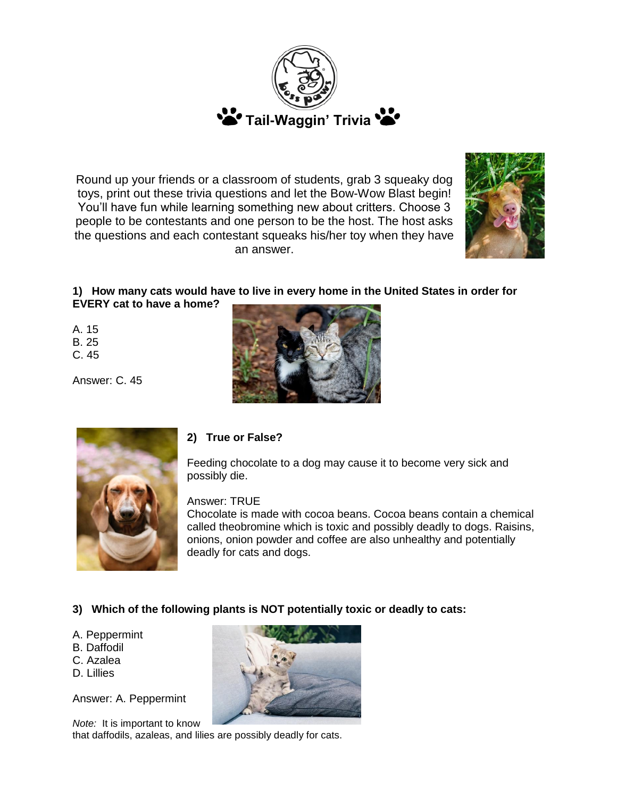

Round up your friends or a classroom of students, grab 3 squeaky dog toys, print out these trivia questions and let the Bow-Wow Blast begin! You'll have fun while learning something new about critters. Choose 3 people to be contestants and one person to be the host. The host asks the questions and each contestant squeaks his/her toy when they have an answer.



# **1) How many cats would have to live in every home in the United States in order for EVERY cat to have a home?**

A. 15 B. 25

C. 45

Answer: C. 45





## **2) True or False?**

Feeding chocolate to a dog may cause it to become very sick and possibly die.

Answer: TRUE

Chocolate is made with cocoa beans. Cocoa beans contain a chemical called theobromine which is toxic and possibly deadly to dogs. Raisins, onions, onion powder and coffee are also unhealthy and potentially deadly for cats and dogs.

## **3) Which of the following plants is NOT potentially toxic or deadly to cats:**

- A. Peppermint
- B. Daffodil
- C. Azalea
- D. Lillies

Answer: A. Peppermint



*Note:* It is important to know that daffodils, azaleas, and lilies are possibly deadly for cats.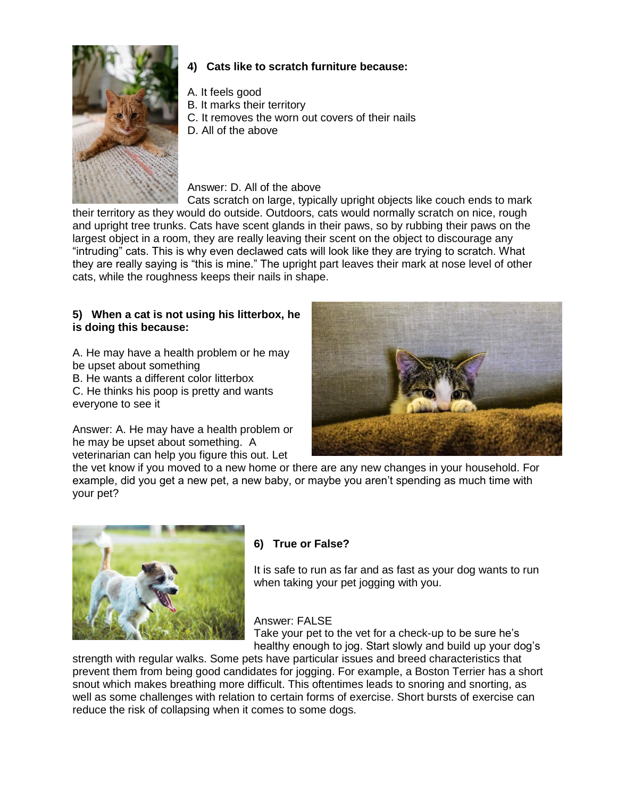

## **4) Cats like to scratch furniture because:**

- A. It feels good
- B. It marks their territory
- C. It removes the worn out covers of their nails
- D. All of the above

# Answer: D. All of the above

Cats scratch on large, typically upright objects like couch ends to mark their territory as they would do outside. Outdoors, cats would normally scratch on nice, rough and upright tree trunks. Cats have scent glands in their paws, so by rubbing their paws on the largest object in a room, they are really leaving their scent on the object to discourage any "intruding" cats. This is why even declawed cats will look like they are trying to scratch. What they are really saying is "this is mine." The upright part leaves their mark at nose level of other cats, while the roughness keeps their nails in shape.

## **5) When a cat is not using his litterbox, he is doing this because:**

A. He may have a health problem or he may be upset about something

B. He wants a different color litterbox

C. He thinks his poop is pretty and wants everyone to see it

Answer: A. He may have a health problem or he may be upset about something. A veterinarian can help you figure this out. Let



the vet know if you moved to a new home or there are any new changes in your household. For example, did you get a new pet, a new baby, or maybe you aren't spending as much time with your pet?



# **6) True or False?**

It is safe to run as far and as fast as your dog wants to run when taking your pet jogging with you.

## Answer: FALSE

Take your pet to the vet for a check-up to be sure he's healthy enough to jog. Start slowly and build up your dog's

strength with regular walks. Some pets have particular issues and breed characteristics that prevent them from being good candidates for jogging. For example, a Boston Terrier has a short snout which makes breathing more difficult. This oftentimes leads to snoring and snorting, as well as some challenges with relation to certain forms of exercise. Short bursts of exercise can reduce the risk of collapsing when it comes to some dogs.